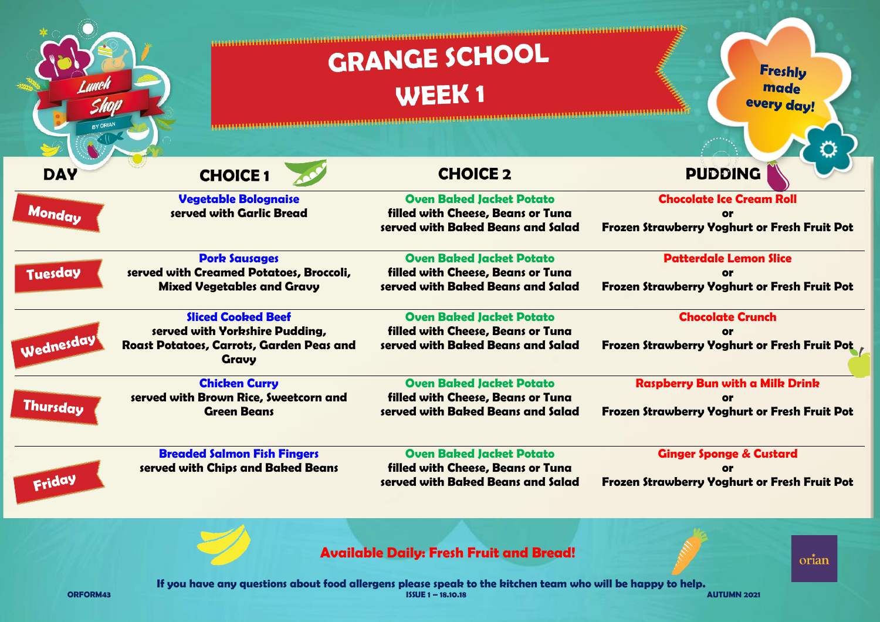|                      |                                                                                                                         | <b>GRANGE SCHOOL</b><br><b>WEEK1</b>                                                                                         | <b>Freshly</b><br>made<br>every day!                                                                    |  |
|----------------------|-------------------------------------------------------------------------------------------------------------------------|------------------------------------------------------------------------------------------------------------------------------|---------------------------------------------------------------------------------------------------------|--|
| BY ORIAN             |                                                                                                                         |                                                                                                                              |                                                                                                         |  |
| <b>DAY</b><br>Monday | <b>CHOICE 1</b><br><b>Vegetable Bolognaise</b><br>served with Garlic Bread                                              | <b>CHOICE 2</b><br><b>Oven Baked Jacket Potato</b><br>filled with Cheese, Beans or Tuna<br>served with Baked Beans and Salad | <b>PUDDING</b><br><b>Chocolate Ice Cream Roll</b><br>or<br>Frozen Strawberry Yoghurt or Fresh Fruit Pot |  |
| <b>Tuesday</b>       | <b>Pork Sausages</b><br>served with Creamed Potatoes, Broccoli,<br><b>Mixed Vegetables and Gravy</b>                    | <b>Oven Baked Jacket Potato</b><br>filled with Cheese, Beans or Tuna<br>served with Baked Beans and Salad                    | <b>Patterdale Lemon Slice</b><br>Frozen Strawberry Yoghurt or Fresh Fruit Pot                           |  |
| Wednesday            | <b>Sliced Cooked Beef</b><br>served with Yorkshire Pudding,<br>Roast Potatoes, Carrots, Garden Peas and<br><b>Gravy</b> | <b>Oven Baked Jacket Potato</b><br>filled with Cheese, Beans or Tuna<br>served with Baked Beans and Salad                    | <b>Chocolate Crunch</b><br>or<br><b>Frozen Strawberry Yoghurt or Fresh Fruit Pot</b>                    |  |
| <b>Thursday</b>      | <b>Chicken Curry</b><br>served with Brown Rice, Sweetcorn and<br><b>Green Beans</b>                                     | <b>Oven Baked Jacket Potato</b><br>filled with Cheese, Beans or Tuna<br>served with Baked Beans and Salad                    | <b>Raspberry Bun with a Milk Drink</b><br>or<br><b>Frozen Strawberry Yoghurt or Fresh Fruit Pot</b>     |  |
| Friday               | <b>Breaded Salmon Fish Fingers</b><br>served with Chips and Baked Beans                                                 | <b>Oven Baked Jacket Potato</b><br>filled with Cheese, Beans or Tuna<br>served with Baked Beans and Salad                    | <b>Ginger Sponge &amp; Custard</b><br><b>or</b><br><b>Frozen Strawberry Yoghurt or Fresh Fruit Pot</b>  |  |
|                      |                                                                                                                         | <b>Available Daily: Fresh Fruit and Bread!</b>                                                                               | orian                                                                                                   |  |

**If you have any questions about food allergens please speak to the kitchen team who will be happy to help. ORFORM43 ISSUE 1 – 18.10.18 AUTUMN 2021**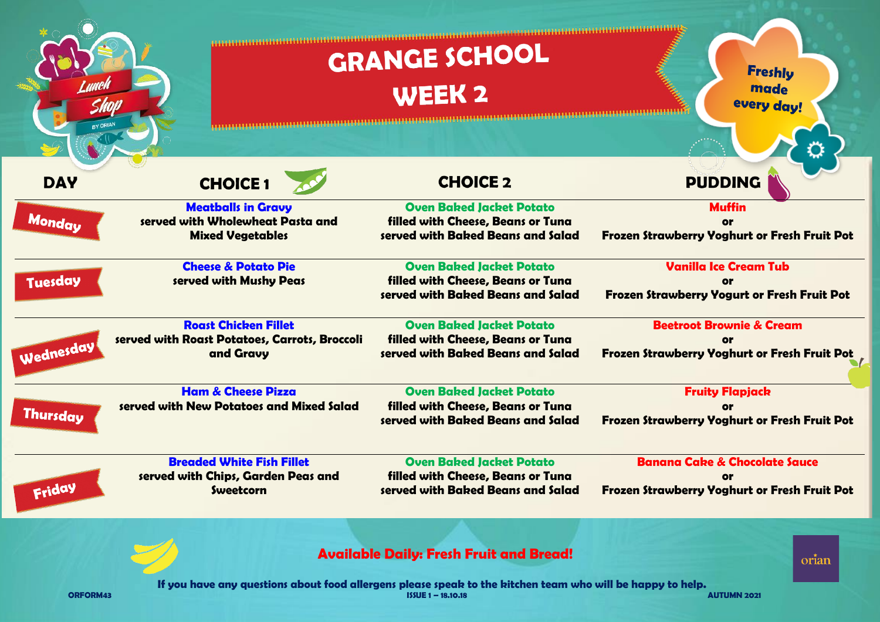